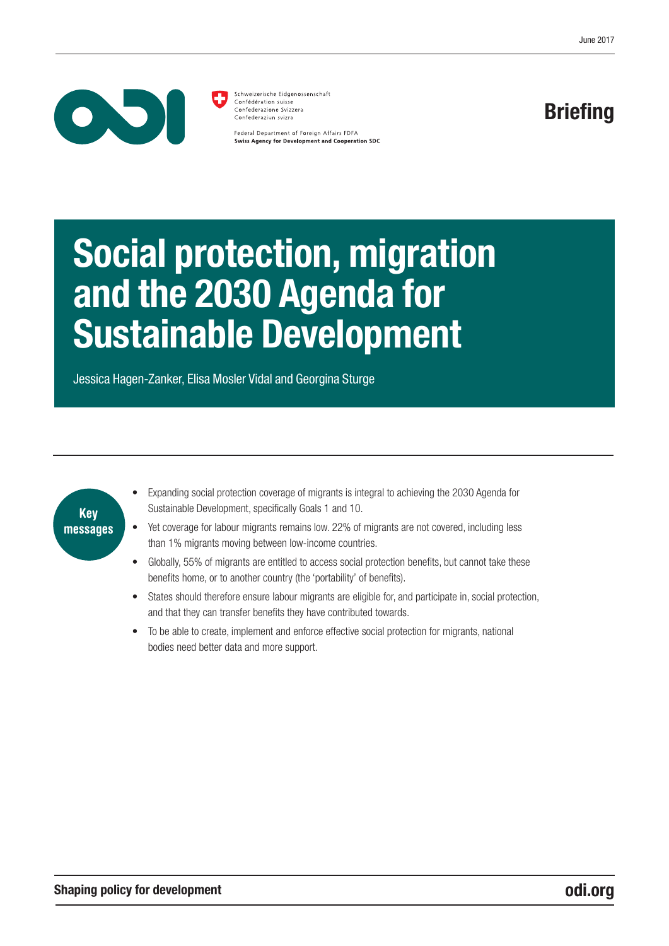

Schweizerische Eidgenossenschaft Confédération suisse Confederazione Svizzera Confederaziun svizra

Federal Department of Foreign Affairs FDFA **Swiss Agency for Development and Cooperation SDC** 

### **Briefing**

# Social protection, migration and the 2030 Agenda for Sustainable Development

Jessica Hagen-Zanker, Elisa Mosler Vidal and Georgina Sturge



- Expanding social protection coverage of migrants is integral to achieving the 2030 Agenda for Sustainable Development, specifically Goals 1 and 10.
- Yet coverage for labour migrants remains low. 22% of migrants are not covered, including less than 1% migrants moving between low-income countries.
- Globally, 55% of migrants are entitled to access social protection benefits, but cannot take these benefits home, or to another country (the 'portability' of benefits).
- States should therefore ensure labour migrants are eligible for, and participate in, social protection, and that they can transfer benefits they have contributed towards.
- To be able to create, implement and enforce effective social protection for migrants, national bodies need better data and more support.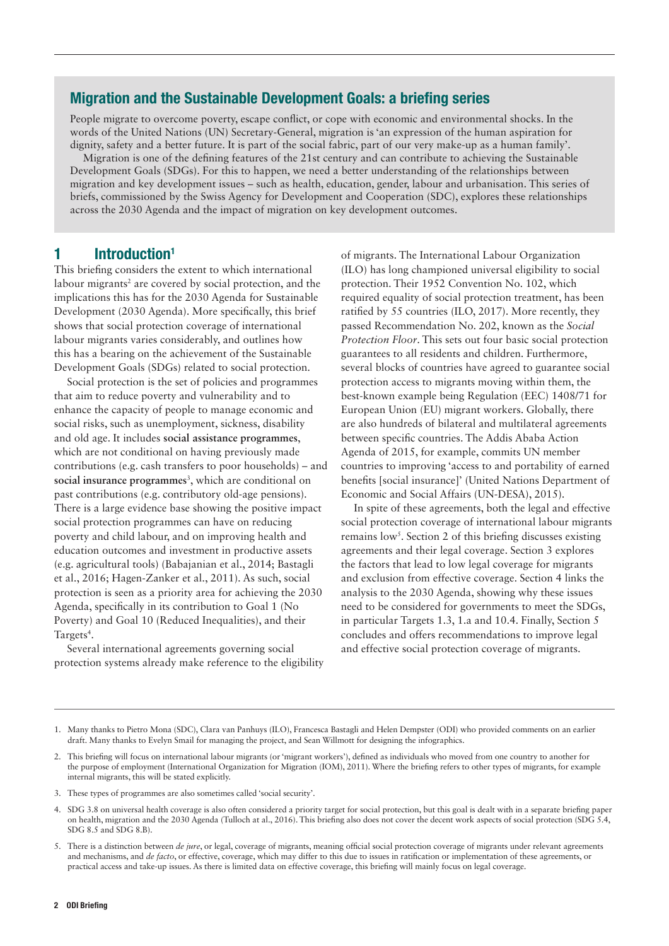#### Migration and the Sustainable Development Goals: a briefing series

People migrate to overcome poverty, escape conflict, or cope with economic and environmental shocks. In the words of the United Nations (UN) Secretary-General, migration is 'an expression of the human aspiration for dignity, safety and a better future. It is part of the social fabric, part of our very make-up as a human family'.

Migration is one of the defining features of the 21st century and can contribute to achieving the Sustainable Development Goals (SDGs). For this to happen, we need a better understanding of the relationships between migration and key development issues – such as health, education, gender, labour and urbanisation. This series of briefs, commissioned by the Swiss Agency for Development and Cooperation (SDC), explores these relationships across the 2030 Agenda and the impact of migration on key development outcomes.

#### 1 Introduction<sup>1</sup>

This briefing considers the extent to which international labour migrants<sup>2</sup> are covered by social protection, and the implications this has for the 2030 Agenda for Sustainable Development (2030 Agenda). More specifically, this brief shows that social protection coverage of international labour migrants varies considerably, and outlines how this has a bearing on the achievement of the Sustainable Development Goals (SDGs) related to social protection.

Social protection is the set of policies and programmes that aim to reduce poverty and vulnerability and to enhance the capacity of people to manage economic and social risks, such as unemployment, sickness, disability and old age. It includes **social assistance programmes**, which are not conditional on having previously made contributions (e.g. cash transfers to poor households) – and social insurance programmes<sup>3</sup>, which are conditional on past contributions (e.g. contributory old-age pensions). There is a large evidence base showing the positive impact social protection programmes can have on reducing poverty and child labour, and on improving health and education outcomes and investment in productive assets (e.g. agricultural tools) (Babajanian et al., 2014; Bastagli et al., 2016; Hagen-Zanker et al., 2011). As such, social protection is seen as a priority area for achieving the 2030 Agenda, specifically in its contribution to Goal 1 (No Poverty) and Goal 10 (Reduced Inequalities), and their Targets<sup>4</sup>.

Several international agreements governing social protection systems already make reference to the eligibility of migrants. The International Labour Organization (ILO) has long championed universal eligibility to social protection. Their 1952 Convention No. 102, which required equality of social protection treatment, has been ratified by 55 countries (ILO, 2017). More recently, they passed Recommendation No. 202, known as the *Social Protection Floor*. This sets out four basic social protection guarantees to all residents and children. Furthermore, several blocks of countries have agreed to guarantee social protection access to migrants moving within them, the best-known example being Regulation (EEC) 1408/71 for European Union (EU) migrant workers. Globally, there are also hundreds of bilateral and multilateral agreements between specific countries. The Addis Ababa Action Agenda of 2015, for example, commits UN member countries to improving 'access to and portability of earned benefits [social insurance]' (United Nations Department of Economic and Social Affairs (UN-DESA), 2015).

In spite of these agreements, both the legal and effective social protection coverage of international labour migrants remains low<sup>5</sup>. Section 2 of this briefing discusses existing agreements and their legal coverage. Section 3 explores the factors that lead to low legal coverage for migrants and exclusion from effective coverage. Section 4 links the analysis to the 2030 Agenda, showing why these issues need to be considered for governments to meet the SDGs, in particular Targets 1.3, 1.a and 10.4. Finally, Section 5 concludes and offers recommendations to improve legal and effective social protection coverage of migrants.

<sup>1.</sup> Many thanks to Pietro Mona (SDC), Clara van Panhuys (ILO), Francesca Bastagli and Helen Dempster (ODI) who provided comments on an earlier draft. Many thanks to Evelyn Smail for managing the project, and Sean Willmott for designing the infographics.

<sup>2.</sup> This briefing will focus on international labour migrants (or 'migrant workers'), defined as individuals who moved from one country to another for the purpose of employment (International Organization for Migration (IOM), 2011). Where the briefing refers to other types of migrants, for example internal migrants, this will be stated explicitly.

<sup>3.</sup> These types of programmes are also sometimes called 'social security'.

<sup>4.</sup> SDG 3.8 on universal health coverage is also often considered a priority target for social protection, but this goal is dealt with in a separate briefing paper on health, migration and the 2030 Agenda (Tulloch at al., 2016). This briefing also does not cover the decent work aspects of social protection (SDG 5.4, SDG 8.5 and SDG 8.B).

<sup>5.</sup> There is a distinction between *de jure*, or legal, coverage of migrants, meaning official social protection coverage of migrants under relevant agreements and mechanisms, and *de facto*, or effective, coverage, which may differ to this due to issues in ratification or implementation of these agreements, or practical access and take-up issues. As there is limited data on effective coverage, this briefing will mainly focus on legal coverage.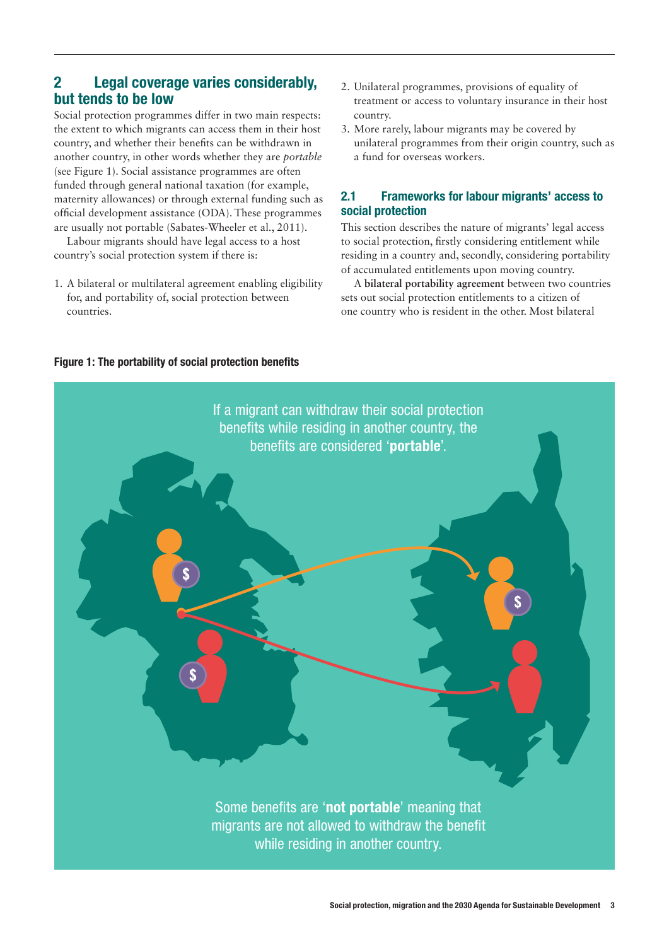#### 2 Legal coverage varies considerably, but tends to be low

Social protection programmes differ in two main respects: the extent to which migrants can access them in their host country, and whether their benefits can be withdrawn in another country, in other words whether they are *portable* (see Figure 1). Social assistance programmes are often funded through general national taxation (for example, maternity allowances) or through external funding such as official development assistance (ODA). These programmes are usually not portable (Sabates-Wheeler et al., 2011).

Labour migrants should have legal access to a host country's social protection system if there is:

1. A bilateral or multilateral agreement enabling eligibility for, and portability of, social protection between countries.

- 2. Unilateral programmes, provisions of equality of treatment or access to voluntary insurance in their host country.
- 3. More rarely, labour migrants may be covered by unilateral programmes from their origin country, such as a fund for overseas workers.

#### 2.1 Frameworks for labour migrants' access to social protection

This section describes the nature of migrants' legal access to social protection, firstly considering entitlement while residing in a country and, secondly, considering portability of accumulated entitlements upon moving country.

A **bilateral portability agreement** between two countries sets out social protection entitlements to a citizen of one country who is resident in the other. Most bilateral

# Some benefits are 'not portable' meaning that migrants are not allowed to withdraw the benefit while residing in another country. If a migrant can withdraw their social protection benefits while residing in another country, the benefits are considered 'portable'.

#### Figure 1: The portability of social protection benefits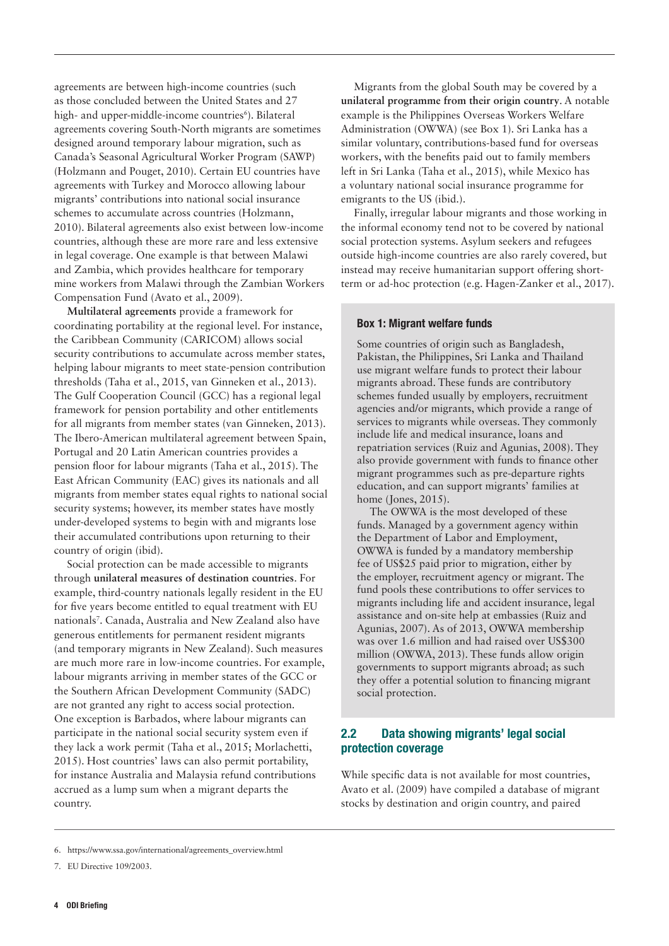agreements are between high-income countries (such as those concluded between the United States and 27 high- and upper-middle-income countries<sup>6</sup>). Bilateral agreements covering South-North migrants are sometimes designed around temporary labour migration, such as Canada's Seasonal Agricultural Worker Program (SAWP) (Holzmann and Pouget, 2010). Certain EU countries have agreements with Turkey and Morocco allowing labour migrants' contributions into national social insurance schemes to accumulate across countries (Holzmann, 2010). Bilateral agreements also exist between low-income countries, although these are more rare and less extensive in legal coverage. One example is that between Malawi and Zambia, which provides healthcare for temporary mine workers from Malawi through the Zambian Workers Compensation Fund (Avato et al., 2009).

**Multilateral agreements** provide a framework for coordinating portability at the regional level. For instance, the Caribbean Community (CARICOM) allows social security contributions to accumulate across member states, helping labour migrants to meet state-pension contribution thresholds (Taha et al., 2015, van Ginneken et al., 2013). The Gulf Cooperation Council (GCC) has a regional legal framework for pension portability and other entitlements for all migrants from member states (van Ginneken, 2013). The Ibero-American multilateral agreement between Spain, Portugal and 20 Latin American countries provides a pension floor for labour migrants (Taha et al., 2015). The East African Community (EAC) gives its nationals and all migrants from member states equal rights to national social security systems; however, its member states have mostly under-developed systems to begin with and migrants lose their accumulated contributions upon returning to their country of origin (ibid).

Social protection can be made accessible to migrants through **unilateral measures of destination countries**. For example, third-country nationals legally resident in the EU for five years become entitled to equal treatment with EU nationals7 . Canada, Australia and New Zealand also have generous entitlements for permanent resident migrants (and temporary migrants in New Zealand). Such measures are much more rare in low-income countries. For example, labour migrants arriving in member states of the GCC or the Southern African Development Community (SADC) are not granted any right to access social protection. One exception is Barbados, where labour migrants can participate in the national social security system even if they lack a work permit (Taha et al., 2015; Morlachetti, 2015). Host countries' laws can also permit portability, for instance Australia and Malaysia refund contributions accrued as a lump sum when a migrant departs the country.

Migrants from the global South may be covered by a **unilateral programme from their origin country**. A notable example is the Philippines Overseas Workers Welfare Administration (OWWA) (see Box 1). Sri Lanka has a similar voluntary, contributions-based fund for overseas workers, with the benefits paid out to family members left in Sri Lanka (Taha et al., 2015), while Mexico has a voluntary national social insurance programme for emigrants to the US (ibid.).

Finally, irregular labour migrants and those working in the informal economy tend not to be covered by national social protection systems. Asylum seekers and refugees outside high-income countries are also rarely covered, but instead may receive humanitarian support offering shortterm or ad-hoc protection (e.g. Hagen-Zanker et al., 2017).

#### Box 1: Migrant welfare funds

Some countries of origin such as Bangladesh, Pakistan, the Philippines, Sri Lanka and Thailand use migrant welfare funds to protect their labour migrants abroad. These funds are contributory schemes funded usually by employers, recruitment agencies and/or migrants, which provide a range of services to migrants while overseas. They commonly include life and medical insurance, loans and repatriation services (Ruiz and Agunias, 2008). They also provide government with funds to finance other migrant programmes such as pre-departure rights education, and can support migrants' families at home (Jones, 2015).

The OWWA is the most developed of these funds. Managed by a government agency within the Department of Labor and Employment, OWWA is funded by a mandatory membership fee of US\$25 paid prior to migration, either by the employer, recruitment agency or migrant. The fund pools these contributions to offer services to migrants including life and accident insurance, legal assistance and on-site help at embassies (Ruiz and Agunias, 2007). As of 2013, OWWA membership was over 1.6 million and had raised over US\$300 million (OWWA, 2013). These funds allow origin governments to support migrants abroad; as such they offer a potential solution to financing migrant social protection.

#### 2.2 Data showing migrants' legal social protection coverage

While specific data is not available for most countries, Avato et al. (2009) have compiled a database of migrant stocks by destination and origin country, and paired

<sup>6.</sup> [https://www.ssa.gov/international/agreements\\_overview.html](https://www.ssa.gov/international/agreements_overview.html)

<sup>7.</sup> EU Directive 109/2003.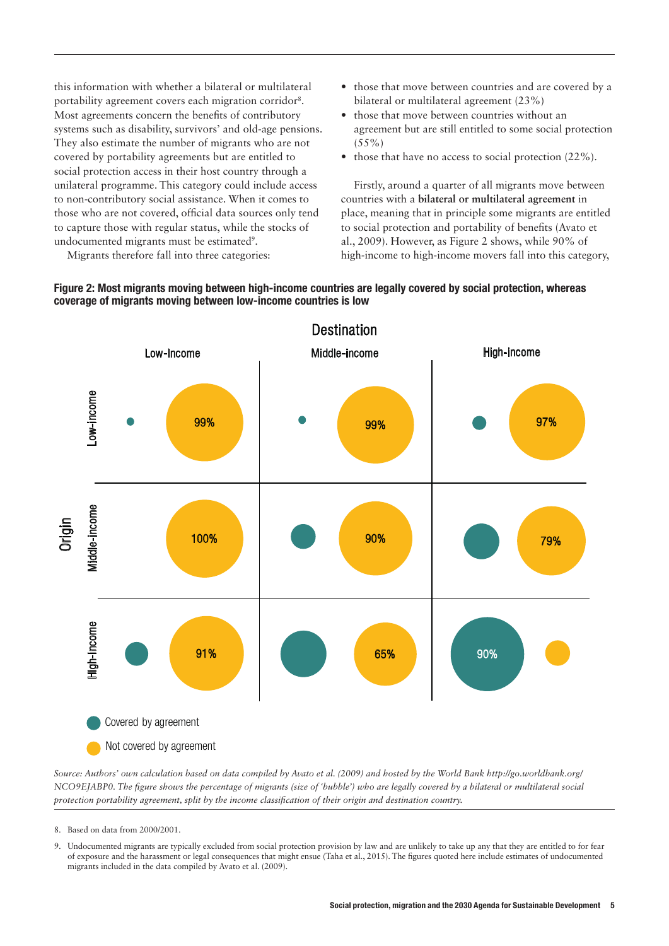this information with whether a bilateral or multilateral portability agreement covers each migration corridor<sup>8</sup>. Most agreements concern the benefits of contributory systems such as disability, survivors' and old-age pensions. They also estimate the number of migrants who are not covered by portability agreements but are entitled to social protection access in their host country through a unilateral programme. This category could include access to non-contributory social assistance. When it comes to those who are not covered, official data sources only tend to capture those with regular status, while the stocks of undocumented migrants must be estimated<sup>9</sup>.

- **•** those that move between countries and are covered by a bilateral or multilateral agreement (23%)
- **•** those that move between countries without an agreement but are still entitled to some social protection  $(55\%)$
- those that have no access to social protection  $(22\%)$ .

Firstly, around a quarter of all migrants move between countries with a **bilateral or multilateral agreement** in place, meaning that in principle some migrants are entitled to social protection and portability of benefits (Avato et al., 2009). However, as Figure 2 shows, while 90% of high-income to high-income movers fall into this category,

Migrants therefore fall into three categories:





*Source: Authors' own calculation based on data compiled by Avato et al. (2009) and hosted by the World Bank<http://go.worldbank.org/> NCO9EJABP0. The figure shows the percentage of migrants (size of 'bubble') who are legally covered by a bilateral or multilateral social protection portability agreement, split by the income classification of their origin and destination country.*

- 8. Based on data from 2000/2001.
- 9. Undocumented migrants are typically excluded from social protection provision by law and are unlikely to take up any that they are entitled to for fear of exposure and the harassment or legal consequences that might ensue (Taha et al., 2015). The figures quoted here include estimates of undocumented migrants included in the data compiled by Avato et al. (2009).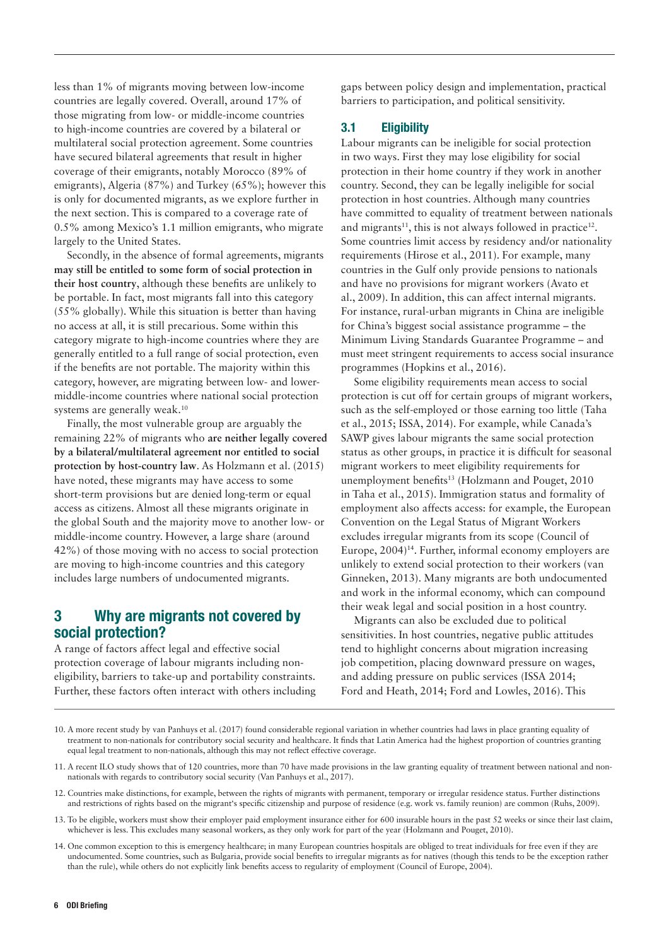less than 1% of migrants moving between low-income countries are legally covered. Overall, around 17% of those migrating from low- or middle-income countries to high-income countries are covered by a bilateral or multilateral social protection agreement. Some countries have secured bilateral agreements that result in higher coverage of their emigrants, notably Morocco (89% of emigrants), Algeria (87%) and Turkey (65%); however this is only for documented migrants, as we explore further in the next section. This is compared to a coverage rate of 0.5% among Mexico's 1.1 million emigrants, who migrate largely to the United States.

Secondly, in the absence of formal agreements, migrants **may still be entitled to some form of social protection in their host country**, although these benefits are unlikely to be portable. In fact, most migrants fall into this category (55% globally). While this situation is better than having no access at all, it is still precarious. Some within this category migrate to high-income countries where they are generally entitled to a full range of social protection, even if the benefits are not portable. The majority within this category, however, are migrating between low- and lowermiddle-income countries where national social protection systems are generally weak.<sup>10</sup>

Finally, the most vulnerable group are arguably the remaining 22% of migrants who **are neither legally covered by a bilateral/multilateral agreement nor entitled to social protection by host-country law**. As Holzmann et al. (2015) have noted, these migrants may have access to some short-term provisions but are denied long-term or equal access as citizens. Almost all these migrants originate in the global South and the majority move to another low- or middle-income country. However, a large share (around 42%) of those moving with no access to social protection are moving to high-income countries and this category includes large numbers of undocumented migrants.

#### 3 Why are migrants not covered by social protection?

A range of factors affect legal and effective social protection coverage of labour migrants including noneligibility, barriers to take-up and portability constraints. Further, these factors often interact with others including gaps between policy design and implementation, practical barriers to participation, and political sensitivity.

#### 3.1 Eligibility

Labour migrants can be ineligible for social protection in two ways. First they may lose eligibility for social protection in their home country if they work in another country. Second, they can be legally ineligible for social protection in host countries. Although many countries have committed to equality of treatment between nationals and migrants<sup>11</sup>, this is not always followed in practice<sup>12</sup>. Some countries limit access by residency and/or nationality requirements (Hirose et al., 2011). For example, many countries in the Gulf only provide pensions to nationals and have no provisions for migrant workers (Avato et al., 2009). In addition, this can affect internal migrants. For instance, rural-urban migrants in China are ineligible for China's biggest social assistance programme – the Minimum Living Standards Guarantee Programme – and must meet stringent requirements to access social insurance programmes (Hopkins et al., 2016).

Some eligibility requirements mean access to social protection is cut off for certain groups of migrant workers, such as the self-employed or those earning too little (Taha et al., 2015; ISSA, 2014). For example, while Canada's SAWP gives labour migrants the same social protection status as other groups, in practice it is difficult for seasonal migrant workers to meet eligibility requirements for unemployment benefits<sup>13</sup> (Holzmann and Pouget, 2010 in Taha et al., 2015). Immigration status and formality of employment also affects access: for example, the European Convention on the Legal Status of Migrant Workers excludes irregular migrants from its scope (Council of Europe, 2004)<sup>14</sup>. Further, informal economy employers are unlikely to extend social protection to their workers (van Ginneken, 2013). Many migrants are both undocumented and work in the informal economy, which can compound their weak legal and social position in a host country.

Migrants can also be excluded due to political sensitivities. In host countries, negative public attitudes tend to highlight concerns about migration increasing job competition, placing downward pressure on wages, and adding pressure on public services (ISSA 2014; Ford and Heath, 2014; Ford and Lowles, 2016). This

- 10. A more recent study by van Panhuys et al. (2017) found considerable regional variation in whether countries had laws in place granting equality of treatment to non-nationals for contributory social security and healthcare. It finds that Latin America had the highest proportion of countries granting equal legal treatment to non-nationals, although this may not reflect effective coverage.
- 11. A recent ILO study shows that of 120 countries, more than 70 have made provisions in the law granting equality of treatment between national and nonnationals with regards to contributory social security (Van Panhuys et al., 2017).
- 12. Countries make distinctions, for example, between the rights of migrants with permanent, temporary or irregular residence status. Further distinctions and restrictions of rights based on the migrant's specific citizenship and purpose of residence (e.g. work vs. family reunion) are common (Ruhs, 2009).
- 13. To be eligible, workers must show their employer paid employment insurance either for 600 insurable hours in the past 52 weeks or since their last claim, whichever is less. This excludes many seasonal workers, as they only work for part of the year (Holzmann and Pouget, 2010).
- 14. One common exception to this is emergency healthcare; in many European countries hospitals are obliged to treat individuals for free even if they are undocumented. Some countries, such as Bulgaria, provide social benefits to irregular migrants as for natives (though this tends to be the exception rather than the rule), while others do not explicitly link benefits access to regularity of employment (Council of Europe, 2004).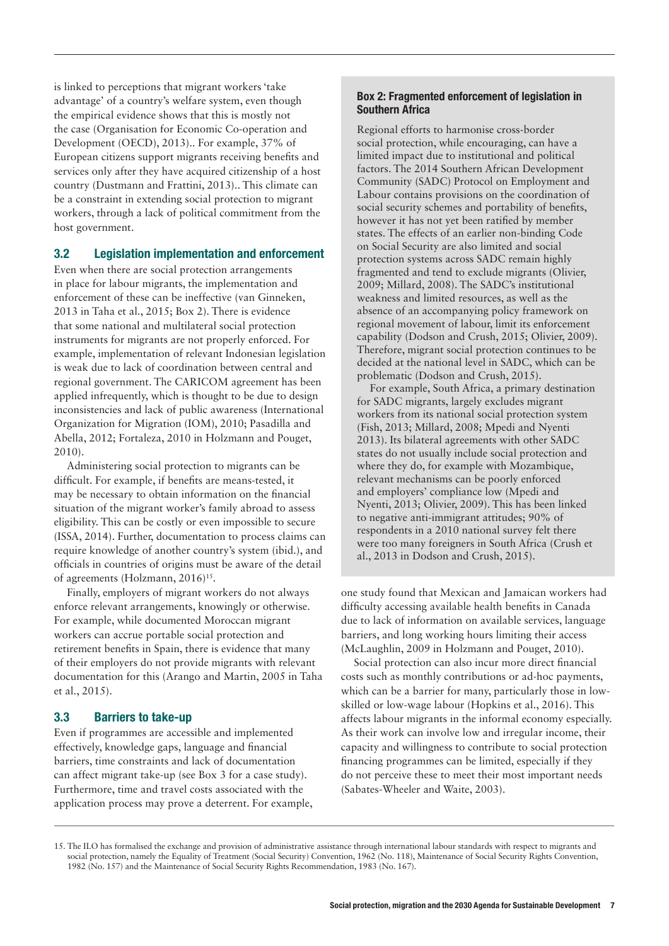is linked to perceptions that migrant workers 'take advantage' of a country's welfare system, even though the empirical evidence shows that this is mostly not the case (Organisation for Economic Co-operation and Development (OECD), 2013).. For example, 37% of European citizens support migrants receiving benefits and services only after they have acquired citizenship of a host country (Dustmann and Frattini, 2013).. This climate can be a constraint in extending social protection to migrant workers, through a lack of political commitment from the host government.

#### 3.2 Legislation implementation and enforcement

Even when there are social protection arrangements in place for labour migrants, the implementation and enforcement of these can be ineffective (van Ginneken, 2013 in Taha et al., 2015; Box 2). There is evidence that some national and multilateral social protection instruments for migrants are not properly enforced. For example, implementation of relevant Indonesian legislation is weak due to lack of coordination between central and regional government. The CARICOM agreement has been applied infrequently, which is thought to be due to design inconsistencies and lack of public awareness (International Organization for Migration (IOM), 2010; Pasadilla and Abella, 2012; Fortaleza, 2010 in Holzmann and Pouget, 2010).

Administering social protection to migrants can be difficult. For example, if benefits are means-tested, it may be necessary to obtain information on the financial situation of the migrant worker's family abroad to assess eligibility. This can be costly or even impossible to secure (ISSA, 2014). Further, documentation to process claims can require knowledge of another country's system (ibid.), and officials in countries of origins must be aware of the detail of agreements (Holzmann, 2016)<sup>15</sup>.

Finally, employers of migrant workers do not always enforce relevant arrangements, knowingly or otherwise. For example, while documented Moroccan migrant workers can accrue portable social protection and retirement benefits in Spain, there is evidence that many of their employers do not provide migrants with relevant documentation for this (Arango and Martin, 2005 in Taha et al., 2015).

#### 3.3 Barriers to take-up

Even if programmes are accessible and implemented effectively, knowledge gaps, language and financial barriers, time constraints and lack of documentation can affect migrant take-up (see Box 3 for a case study). Furthermore, time and travel costs associated with the application process may prove a deterrent. For example,

#### Box 2: Fragmented enforcement of legislation in Southern Africa

Regional efforts to harmonise cross-border social protection, while encouraging, can have a limited impact due to institutional and political factors. The 2014 Southern African Development Community (SADC) Protocol on Employment and Labour contains provisions on the coordination of social security schemes and portability of benefits, however it has not yet been ratified by member states. The effects of an earlier non-binding Code on Social Security are also limited and social protection systems across SADC remain highly fragmented and tend to exclude migrants (Olivier, 2009; Millard, 2008). The SADC's institutional weakness and limited resources, as well as the absence of an accompanying policy framework on regional movement of labour, limit its enforcement capability (Dodson and Crush, 2015; Olivier, 2009). Therefore, migrant social protection continues to be decided at the national level in SADC, which can be problematic (Dodson and Crush, 2015).

For example, South Africa, a primary destination for SADC migrants, largely excludes migrant workers from its national social protection system (Fish, 2013; Millard, 2008; Mpedi and Nyenti 2013). Its bilateral agreements with other SADC states do not usually include social protection and where they do, for example with Mozambique, relevant mechanisms can be poorly enforced and employers' compliance low (Mpedi and Nyenti, 2013; Olivier, 2009). This has been linked to negative anti-immigrant attitudes; 90% of respondents in a 2010 national survey felt there were too many foreigners in South Africa (Crush et al., 2013 in Dodson and Crush, 2015).

one study found that Mexican and Jamaican workers had difficulty accessing available health benefits in Canada due to lack of information on available services, language barriers, and long working hours limiting their access (McLaughlin, 2009 in Holzmann and Pouget, 2010).

Social protection can also incur more direct financial costs such as monthly contributions or ad-hoc payments, which can be a barrier for many, particularly those in lowskilled or low-wage labour (Hopkins et al., 2016). This affects labour migrants in the informal economy especially. As their work can involve low and irregular income, their capacity and willingness to contribute to social protection financing programmes can be limited, especially if they do not perceive these to meet their most important needs (Sabates-Wheeler and Waite, 2003).

<sup>15.</sup> The ILO has formalised the exchange and provision of administrative assistance through international labour standards with respect to migrants and social protection, namely the Equality of Treatment (Social Security) Convention, 1962 (No. 118), Maintenance of Social Security Rights Convention, 1982 (No. 157) and the Maintenance of Social Security Rights Recommendation, 1983 (No. 167).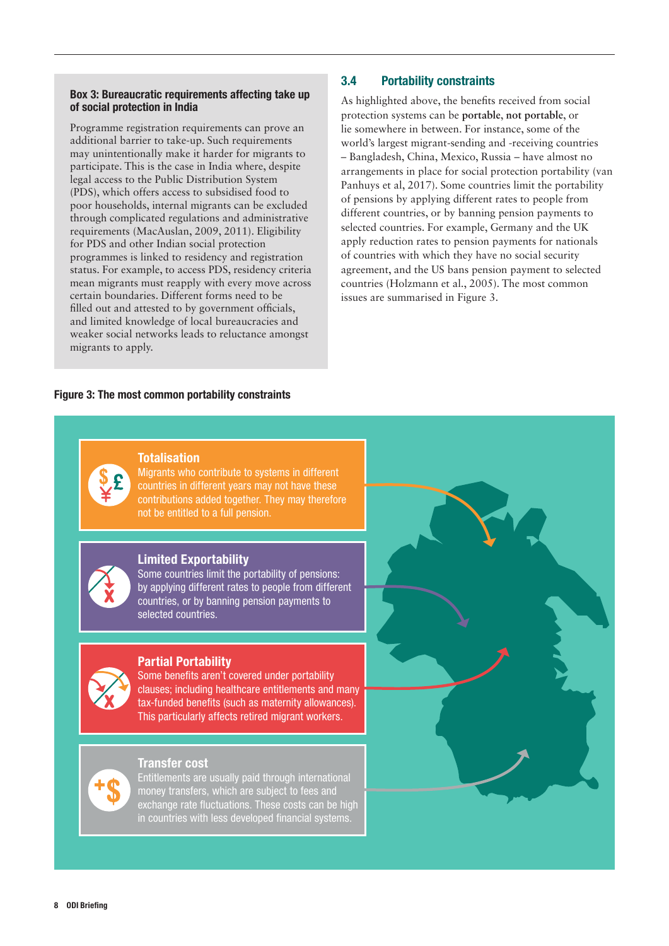#### Box 3: Bureaucratic requirements affecting take up of social protection in India

weaker social networks leads to reluctance amongst<br>migrants to apply. Programme registration requirements can prove an additional barrier to take-up. Such requirements may unintentionally make it harder for migrants to participate. This is the case in India where, despite legal access to the Public Distribution System (PDS), which offers access to subsidised food to poor households, internal migrants can be excluded through complicated regulations and administrative requirements (MacAuslan, 2009, 2011). Eligibility for PDS and other Indian social protection programmes is linked to residency and registration status. For example, to access PDS, residency criteria mean migrants must reapply with every move across certain boundaries. Different forms need to be filled out and attested to by government officials, and limited knowledge of local bureaucracies and migrants to apply.

#### 3.4 Portability constraints

As highlighted above, the benefits received from social protection systems can be **portable**, **not portable**, or lie somewhere in between. For instance, some of the world's largest migrant-sending and -receiving countries – Bangladesh, China, Mexico, Russia – have almost no arrangements in place for social protection portability (van Panhuys et al, 2017). Some countries limit the portability of pensions by applying different rates to people from different countries, or by banning pension payments to selected countries. For example, Germany and the UK apply reduction rates to pension payments for nationals of countries with which they have no social security agreement, and the US bans pension payment to selected countries (Holzmann et al., 2005). The most common issues are summarised in Figure 3.

#### Figure 3: The most common portability constraints The most common issues are:

#### **Totalisation**

Migrants who contribute to systems in different countries in different years may not have these contributions added together. They may therefore not be entitled to a full pension.

Where a migrant worker is legally able to contribute to the intervention of the intervention of the intervention

#### Limited Exportability

Some countries limit the portability of pensions: by applying different rates to people from different countries, or by banning pension payments to selected countries.

#### Partial Portability

Some benefits aren't covered under portability clauses; including healthcare entitlements and many tax-funded benefits (such as maternity allowances). This particularly affects retired migrant workers.



#### Transfer cost

Entitlements are usually paid through international money transfers, which are subject to fees and exchange rate fluctuations. These costs can be high in countries with less developed financial systems

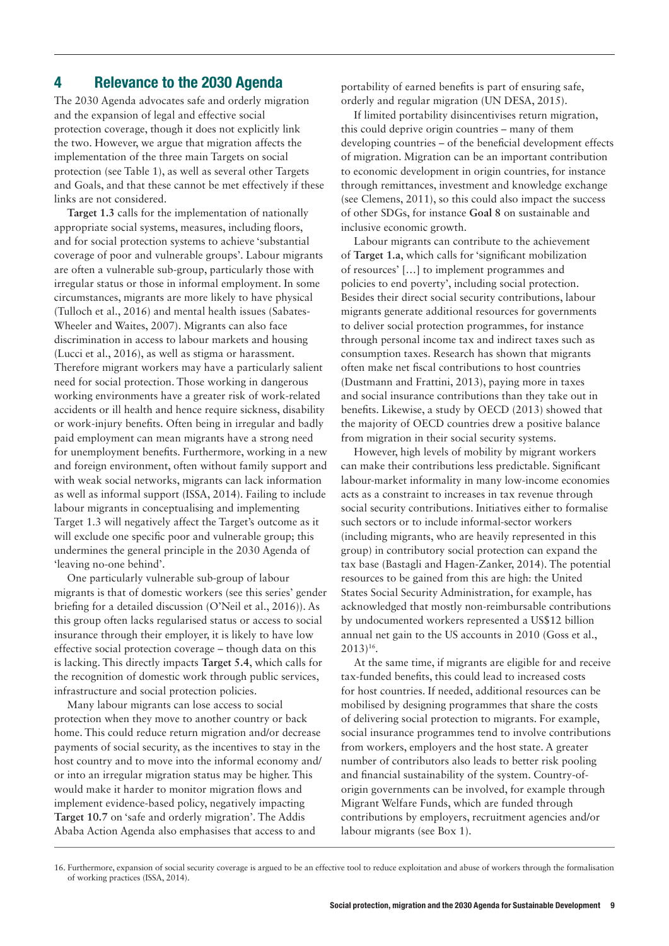#### 4 Relevance to the 2030 Agenda

The 2030 Agenda advocates safe and orderly migration and the expansion of legal and effective social protection coverage, though it does not explicitly link the two. However, we argue that migration affects the implementation of the three main Targets on social protection (see Table 1), as well as several other Targets and Goals, and that these cannot be met effectively if these links are not considered.

**Target 1.3** calls for the implementation of nationally appropriate social systems, measures, including floors, and for social protection systems to achieve 'substantial coverage of poor and vulnerable groups'. Labour migrants are often a vulnerable sub-group, particularly those with irregular status or those in informal employment. In some circumstances, migrants are more likely to have physical (Tulloch et al., 2016) and mental health issues (Sabates-Wheeler and Waites, 2007). Migrants can also face discrimination in access to labour markets and housing (Lucci et al., 2016), as well as stigma or harassment. Therefore migrant workers may have a particularly salient need for social protection. Those working in dangerous working environments have a greater risk of work-related accidents or ill health and hence require sickness, disability or work-injury benefits. Often being in irregular and badly paid employment can mean migrants have a strong need for unemployment benefits. Furthermore, working in a new and foreign environment, often without family support and with weak social networks, migrants can lack information as well as informal support (ISSA, 2014). Failing to include labour migrants in conceptualising and implementing Target 1.3 will negatively affect the Target's outcome as it will exclude one specific poor and vulnerable group; this undermines the general principle in the 2030 Agenda of 'leaving no-one behind'.

One particularly vulnerable sub-group of labour migrants is that of domestic workers (see this series' gender briefing for a detailed discussion (O'Neil et al., 2016)). As this group often lacks regularised status or access to social insurance through their employer, it is likely to have low effective social protection coverage – though data on this is lacking. This directly impacts **Target 5.4**, which calls for the recognition of domestic work through public services, infrastructure and social protection policies.

Many labour migrants can lose access to social protection when they move to another country or back home. This could reduce return migration and/or decrease payments of social security, as the incentives to stay in the host country and to move into the informal economy and/ or into an irregular migration status may be higher. This would make it harder to monitor migration flows and implement evidence-based policy, negatively impacting **Target 10.7** on 'safe and orderly migration'. The Addis Ababa Action Agenda also emphasises that access to and

portability of earned benefits is part of ensuring safe, orderly and regular migration (UN DESA, 2015).

If limited portability disincentivises return migration, this could deprive origin countries – many of them developing countries – of the beneficial development effects of migration. Migration can be an important contribution to economic development in origin countries, for instance through remittances, investment and knowledge exchange (see Clemens, 2011), so this could also impact the success of other SDGs, for instance **Goal 8** on sustainable and inclusive economic growth.

Labour migrants can contribute to the achievement of **Target 1.a**, which calls for 'significant mobilization of resources' […] to implement programmes and policies to end poverty', including social protection. Besides their direct social security contributions, labour migrants generate additional resources for governments to deliver social protection programmes, for instance through personal income tax and indirect taxes such as consumption taxes. Research has shown that migrants often make net fiscal contributions to host countries (Dustmann and Frattini, 2013), paying more in taxes and social insurance contributions than they take out in benefits. Likewise, a study by OECD (2013) showed that the majority of OECD countries drew a positive balance from migration in their social security systems.

However, high levels of mobility by migrant workers can make their contributions less predictable. Significant labour-market informality in many low-income economies acts as a constraint to increases in tax revenue through social security contributions. Initiatives either to formalise such sectors or to include informal-sector workers (including migrants, who are heavily represented in this group) in contributory social protection can expand the tax base (Bastagli and Hagen-Zanker, 2014). The potential resources to be gained from this are high: the United States Social Security Administration, for example, has acknowledged that mostly non-reimbursable contributions by undocumented workers represented a US\$12 billion annual net gain to the US accounts in 2010 (Goss et al., 2013)16.

At the same time, if migrants are eligible for and receive tax-funded benefits, this could lead to increased costs for host countries. If needed, additional resources can be mobilised by designing programmes that share the costs of delivering social protection to migrants. For example, social insurance programmes tend to involve contributions from workers, employers and the host state. A greater number of contributors also leads to better risk pooling and financial sustainability of the system. Country-oforigin governments can be involved, for example through Migrant Welfare Funds, which are funded through contributions by employers, recruitment agencies and/or labour migrants (see Box 1).

<sup>16.</sup> Furthermore, expansion of social security coverage is argued to be an effective tool to reduce exploitation and abuse of workers through the formalisation of working practices (ISSA, 2014).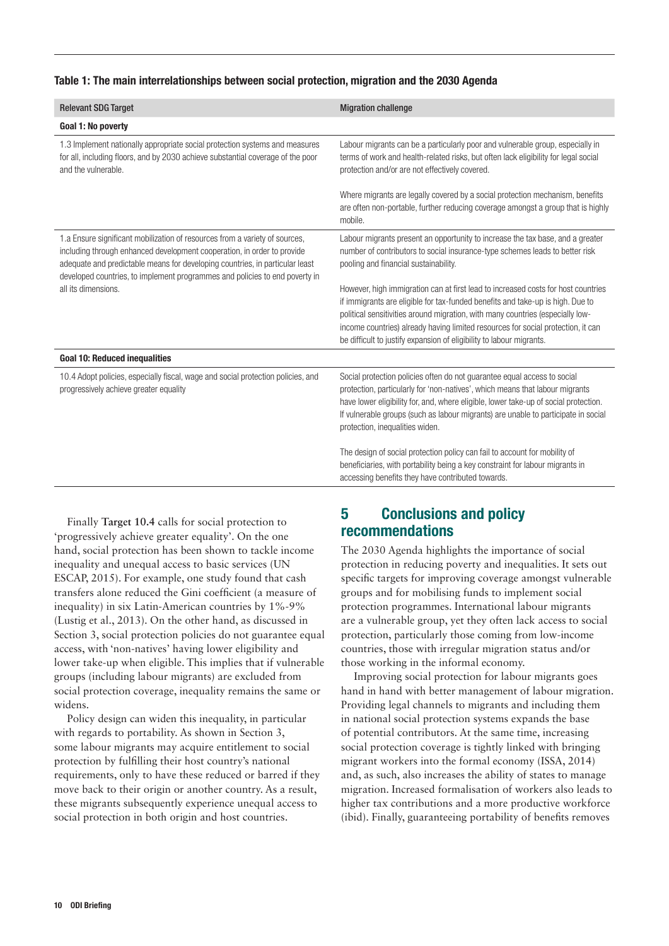#### Table 1: The main interrelationships between social protection, migration and the 2030 Agenda

| <b>Relevant SDG Target</b>                                                                                                                                                                                                                                                                                            | <b>Migration challenge</b>                                                                                                                                                                                                                                                                                                                                                                                        |
|-----------------------------------------------------------------------------------------------------------------------------------------------------------------------------------------------------------------------------------------------------------------------------------------------------------------------|-------------------------------------------------------------------------------------------------------------------------------------------------------------------------------------------------------------------------------------------------------------------------------------------------------------------------------------------------------------------------------------------------------------------|
| Goal 1: No poverty                                                                                                                                                                                                                                                                                                    |                                                                                                                                                                                                                                                                                                                                                                                                                   |
| 1.3 Implement nationally appropriate social protection systems and measures<br>for all, including floors, and by 2030 achieve substantial coverage of the poor<br>and the vulnerable.                                                                                                                                 | Labour migrants can be a particularly poor and vulnerable group, especially in<br>terms of work and health-related risks, but often lack eligibility for legal social<br>protection and/or are not effectively covered.                                                                                                                                                                                           |
|                                                                                                                                                                                                                                                                                                                       | Where migrants are legally covered by a social protection mechanism, benefits<br>are often non-portable, further reducing coverage amongst a group that is highly<br>mobile.                                                                                                                                                                                                                                      |
| 1.a Ensure significant mobilization of resources from a variety of sources,<br>including through enhanced development cooperation, in order to provide<br>adequate and predictable means for developing countries, in particular least<br>developed countries, to implement programmes and policies to end poverty in | Labour migrants present an opportunity to increase the tax base, and a greater<br>number of contributors to social insurance-type schemes leads to better risk<br>pooling and financial sustainability.                                                                                                                                                                                                           |
| all its dimensions.                                                                                                                                                                                                                                                                                                   | However, high immigration can at first lead to increased costs for host countries<br>if immigrants are eligible for tax-funded benefits and take-up is high. Due to<br>political sensitivities around migration, with many countries (especially low-<br>income countries) already having limited resources for social protection, it can<br>be difficult to justify expansion of eligibility to labour migrants. |
| <b>Goal 10: Reduced inequalities</b>                                                                                                                                                                                                                                                                                  |                                                                                                                                                                                                                                                                                                                                                                                                                   |
| 10.4 Adopt policies, especially fiscal, wage and social protection policies, and<br>progressively achieve greater equality                                                                                                                                                                                            | Social protection policies often do not guarantee equal access to social<br>protection, particularly for 'non-natives', which means that labour migrants<br>have lower eligibility for, and, where eligible, lower take-up of social protection.<br>If vulnerable groups (such as labour migrants) are unable to participate in social<br>protection, inequalities widen.                                         |
|                                                                                                                                                                                                                                                                                                                       | The design of social protection policy can fail to account for mobility of<br>beneficiaries, with portability being a key constraint for labour migrants in<br>accessing benefits they have contributed towards.                                                                                                                                                                                                  |

Finally **Target 10.4** calls for social protection to 'progressively achieve greater equality'. On the one hand, social protection has been shown to tackle income inequality and unequal access to basic services (UN ESCAP, 2015). For example, one study found that cash transfers alone reduced the Gini coefficient (a measure of inequality) in six Latin-American countries by 1%-9% (Lustig et al., 2013). On the other hand, as discussed in Section 3, social protection policies do not guarantee equal access, with 'non-natives' having lower eligibility and lower take-up when eligible. This implies that if vulnerable groups (including labour migrants) are excluded from social protection coverage, inequality remains the same or widens.

Policy design can widen this inequality, in particular with regards to portability. As shown in Section 3, some labour migrants may acquire entitlement to social protection by fulfilling their host country's national requirements, only to have these reduced or barred if they move back to their origin or another country. As a result, these migrants subsequently experience unequal access to social protection in both origin and host countries.

#### 5 Conclusions and policy recommendations

The 2030 Agenda highlights the importance of social protection in reducing poverty and inequalities. It sets out specific targets for improving coverage amongst vulnerable groups and for mobilising funds to implement social protection programmes. International labour migrants are a vulnerable group, yet they often lack access to social protection, particularly those coming from low-income countries, those with irregular migration status and/or those working in the informal economy.

Improving social protection for labour migrants goes hand in hand with better management of labour migration. Providing legal channels to migrants and including them in national social protection systems expands the base of potential contributors. At the same time, increasing social protection coverage is tightly linked with bringing migrant workers into the formal economy (ISSA, 2014) and, as such, also increases the ability of states to manage migration. Increased formalisation of workers also leads to higher tax contributions and a more productive workforce (ibid). Finally, guaranteeing portability of benefits removes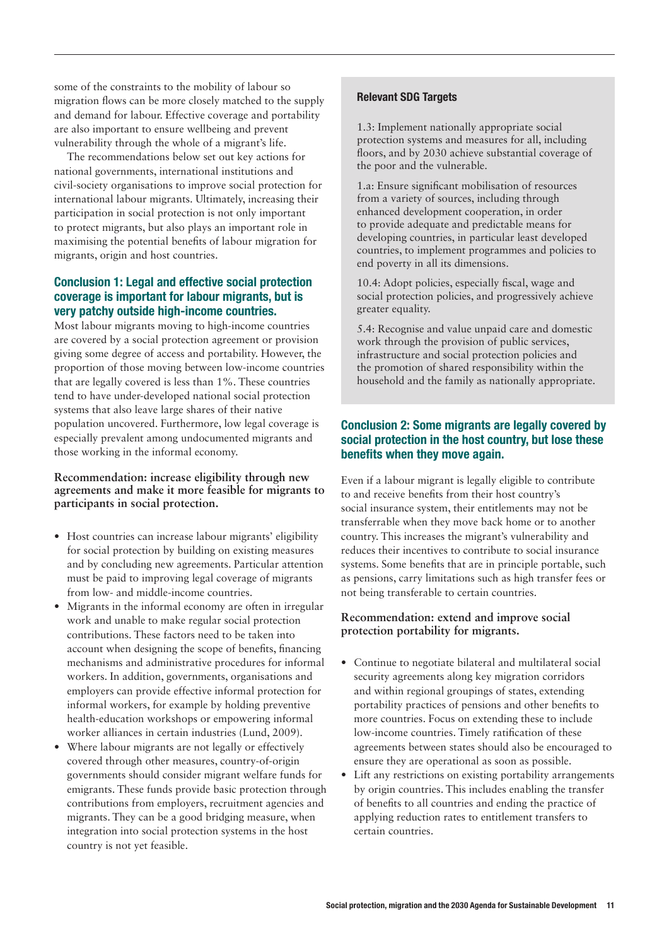some of the constraints to the mobility of labour so migration flows can be more closely matched to the supply and demand for labour. Effective coverage and portability are also important to ensure wellbeing and prevent vulnerability through the whole of a migrant's life.

The recommendations below set out key actions for national governments, international institutions and civil-society organisations to improve social protection for international labour migrants. Ultimately, increasing their participation in social protection is not only important to protect migrants, but also plays an important role in maximising the potential benefits of labour migration for migrants, origin and host countries.

#### Conclusion 1: Legal and effective social protection coverage is important for labour migrants, but is very patchy outside high-income countries.

Most labour migrants moving to high-income countries are covered by a social protection agreement or provision giving some degree of access and portability. However, the proportion of those moving between low-income countries that are legally covered is less than 1%. These countries tend to have under-developed national social protection systems that also leave large shares of their native population uncovered. Furthermore, low legal coverage is especially prevalent among undocumented migrants and those working in the informal economy.

#### **Recommendation: increase eligibility through new agreements and make it more feasible for migrants to participants in social protection.**

- **•** Host countries can increase labour migrants' eligibility for social protection by building on existing measures and by concluding new agreements. Particular attention must be paid to improving legal coverage of migrants from low- and middle-income countries.
- **•** Migrants in the informal economy are often in irregular work and unable to make regular social protection contributions. These factors need to be taken into account when designing the scope of benefits, financing mechanisms and administrative procedures for informal workers. In addition, governments, organisations and employers can provide effective informal protection for informal workers, for example by holding preventive health-education workshops or empowering informal worker alliances in certain industries (Lund, 2009).
- **•** Where labour migrants are not legally or effectively covered through other measures, country-of-origin governments should consider migrant welfare funds for emigrants. These funds provide basic protection through contributions from employers, recruitment agencies and migrants. They can be a good bridging measure, when integration into social protection systems in the host country is not yet feasible.

#### Relevant SDG Targets

1.3: Implement nationally appropriate social protection systems and measures for all, including floors, and by 2030 achieve substantial coverage of the poor and the vulnerable.

1.a: Ensure significant mobilisation of resources from a variety of sources, including through enhanced development cooperation, in order to provide adequate and predictable means for developing countries, in particular least developed countries, to implement programmes and policies to end poverty in all its dimensions.

10.4: Adopt policies, especially fiscal, wage and social protection policies, and progressively achieve greater equality.

5.4: Recognise and value unpaid care and domestic work through the provision of public services, infrastructure and social protection policies and the promotion of shared responsibility within the household and the family as nationally appropriate.

#### Conclusion 2: Some migrants are legally covered by social protection in the host country, but lose these benefits when they move again.

Even if a labour migrant is legally eligible to contribute to and receive benefits from their host country's social insurance system, their entitlements may not be transferrable when they move back home or to another country. This increases the migrant's vulnerability and reduces their incentives to contribute to social insurance systems. Some benefits that are in principle portable, such as pensions, carry limitations such as high transfer fees or not being transferable to certain countries.

#### **Recommendation: extend and improve social protection portability for migrants.**

- **•** Continue to negotiate bilateral and multilateral social security agreements along key migration corridors and within regional groupings of states, extending portability practices of pensions and other benefits to more countries. Focus on extending these to include low-income countries. Timely ratification of these agreements between states should also be encouraged to ensure they are operational as soon as possible.
- **•** Lift any restrictions on existing portability arrangements by origin countries. This includes enabling the transfer of benefits to all countries and ending the practice of applying reduction rates to entitlement transfers to certain countries.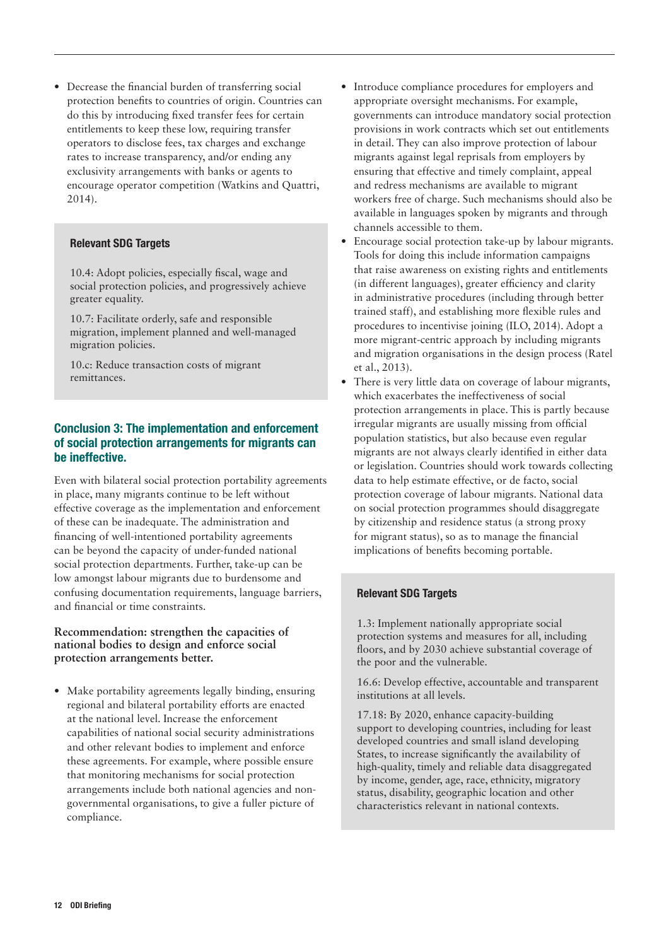**•** Decrease the financial burden of transferring social protection benefits to countries of origin. Countries can do this by introducing fixed transfer fees for certain entitlements to keep these low, requiring transfer operators to disclose fees, tax charges and exchange rates to increase transparency, and/or ending any exclusivity arrangements with banks or agents to encourage operator competition (Watkins and Quattri, 2014).

#### Relevant SDG Targets

10.4: Adopt policies, especially fiscal, wage and social protection policies, and progressively achieve greater equality.

10.7: Facilitate orderly, safe and responsible migration, implement planned and well-managed migration policies.

10.c: Reduce transaction costs of migrant remittances.

#### Conclusion 3: The implementation and enforcement of social protection arrangements for migrants can be ineffective.

Even with bilateral social protection portability agreements in place, many migrants continue to be left without effective coverage as the implementation and enforcement of these can be inadequate. The administration and financing of well-intentioned portability agreements can be beyond the capacity of under-funded national social protection departments. Further, take-up can be low amongst labour migrants due to burdensome and confusing documentation requirements, language barriers, and financial or time constraints.

#### **Recommendation: strengthen the capacities of national bodies to design and enforce social protection arrangements better.**

**•** Make portability agreements legally binding, ensuring regional and bilateral portability efforts are enacted at the national level. Increase the enforcement capabilities of national social security administrations and other relevant bodies to implement and enforce these agreements. For example, where possible ensure that monitoring mechanisms for social protection arrangements include both national agencies and nongovernmental organisations, to give a fuller picture of compliance.

- **•** Introduce compliance procedures for employers and appropriate oversight mechanisms. For example, governments can introduce mandatory social protection provisions in work contracts which set out entitlements in detail. They can also improve protection of labour migrants against legal reprisals from employers by ensuring that effective and timely complaint, appeal and redress mechanisms are available to migrant workers free of charge. Such mechanisms should also be available in languages spoken by migrants and through channels accessible to them.
- **•** Encourage social protection take-up by labour migrants. Tools for doing this include information campaigns that raise awareness on existing rights and entitlements (in different languages), greater efficiency and clarity in administrative procedures (including through better trained staff), and establishing more flexible rules and procedures to incentivise joining (ILO, 2014). Adopt a more migrant-centric approach by including migrants and migration organisations in the design process (Ratel et al., 2013).
- **•** There is very little data on coverage of labour migrants, which exacerbates the ineffectiveness of social protection arrangements in place. This is partly because irregular migrants are usually missing from official population statistics, but also because even regular migrants are not always clearly identified in either data or legislation. Countries should work towards collecting data to help estimate effective, or de facto, social protection coverage of labour migrants. National data on social protection programmes should disaggregate by citizenship and residence status (a strong proxy for migrant status), so as to manage the financial implications of benefits becoming portable.

#### Relevant SDG Targets

1.3: Implement nationally appropriate social protection systems and measures for all, including floors, and by 2030 achieve substantial coverage of the poor and the vulnerable.

16.6: Develop effective, accountable and transparent institutions at all levels.

17.18: By 2020, enhance capacity-building support to developing countries, including for least developed countries and small island developing States, to increase significantly the availability of high-quality, timely and reliable data disaggregated by income, gender, age, race, ethnicity, migratory status, disability, geographic location and other characteristics relevant in national contexts.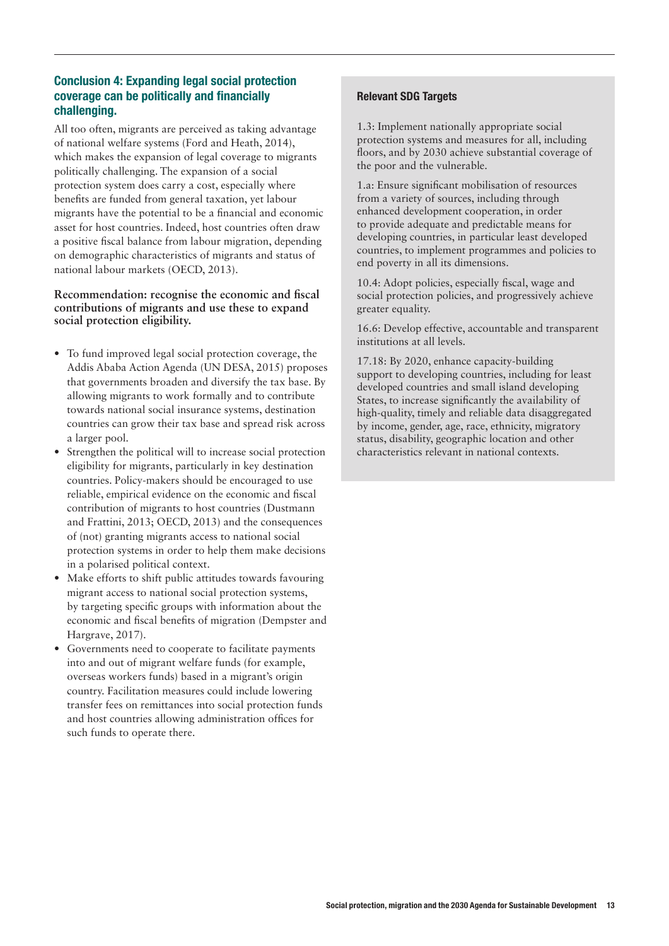#### Conclusion 4: Expanding legal social protection coverage can be politically and financially challenging.

All too often, migrants are perceived as taking advantage of national welfare systems (Ford and Heath, 2014), which makes the expansion of legal coverage to migrants politically challenging. The expansion of a social protection system does carry a cost, especially where benefits are funded from general taxation, yet labour migrants have the potential to be a financial and economic asset for host countries. Indeed, host countries often draw a positive fiscal balance from labour migration, depending on demographic characteristics of migrants and status of national labour markets (OECD, 2013).

#### **Recommendation: recognise the economic and fiscal contributions of migrants and use these to expand social protection eligibility.**

- **•** To fund improved legal social protection coverage, the Addis Ababa Action Agenda (UN DESA, 2015) proposes that governments broaden and diversify the tax base. By allowing migrants to work formally and to contribute towards national social insurance systems, destination countries can grow their tax base and spread risk across a larger pool.
- **•** Strengthen the political will to increase social protection eligibility for migrants, particularly in key destination countries. Policy-makers should be encouraged to use reliable, empirical evidence on the economic and fiscal contribution of migrants to host countries (Dustmann and Frattini, 2013; OECD, 2013) and the consequences of (not) granting migrants access to national social protection systems in order to help them make decisions in a polarised political context.
- **•** Make efforts to shift public attitudes towards favouring migrant access to national social protection systems, by targeting specific groups with information about the economic and fiscal benefits of migration (Dempster and Hargrave, 2017).
- **•** Governments need to cooperate to facilitate payments into and out of migrant welfare funds (for example, overseas workers funds) based in a migrant's origin country. Facilitation measures could include lowering transfer fees on remittances into social protection funds and host countries allowing administration offices for such funds to operate there.

#### Relevant SDG Targets

1.3: Implement nationally appropriate social protection systems and measures for all, including floors, and by 2030 achieve substantial coverage of the poor and the vulnerable.

1.a: Ensure significant mobilisation of resources from a variety of sources, including through enhanced development cooperation, in order to provide adequate and predictable means for developing countries, in particular least developed countries, to implement programmes and policies to end poverty in all its dimensions.

10.4: Adopt policies, especially fiscal, wage and social protection policies, and progressively achieve greater equality.

16.6: Develop effective, accountable and transparent institutions at all levels.

17.18: By 2020, enhance capacity-building support to developing countries, including for least developed countries and small island developing States, to increase significantly the availability of high-quality, timely and reliable data disaggregated by income, gender, age, race, ethnicity, migratory status, disability, geographic location and other characteristics relevant in national contexts.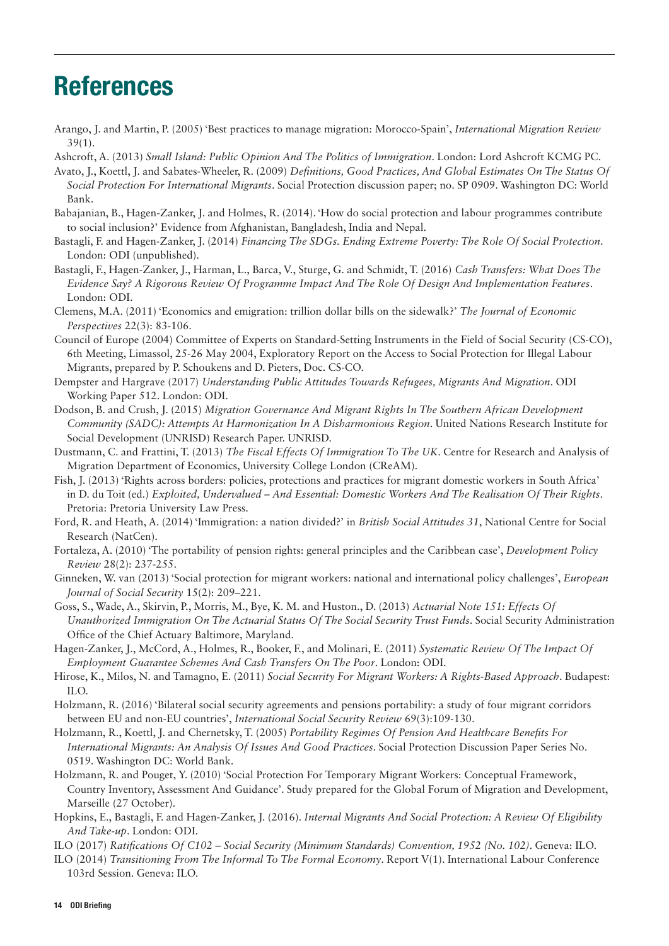## References

- Arango, J. and Martin, P. (2005) 'Best practices to manage migration: Morocco-Spain', *International Migration Review* 39(1).
- Ashcroft, A. (2013) *Small Island: Public Opinion And The Politics of Immigration*. London: Lord Ashcroft KCMG PC.
- Avato, J., Koettl, J. and Sabates-Wheeler, R. (2009) *Definitions, Good Practices, And Global Estimates On The Status Of Social Protection For International Migrants*. Social Protection discussion paper; no. SP 0909. Washington DC: World Bank.
- Babajanian, B., Hagen-Zanker, J. and Holmes, R. (2014). 'How do social protection and labour programmes contribute to social inclusion?' Evidence from Afghanistan, Bangladesh, India and Nepal.
- Bastagli, F. and Hagen-Zanker, J. (2014) *Financing The SDGs. Ending Extreme Poverty: The Role Of Social Protection*. London: ODI (unpublished).
- Bastagli, F., Hagen-Zanker, J., Harman, L., Barca, V., Sturge, G. and Schmidt, T. (2016) *Cash Transfers: What Does The Evidence Say? A Rigorous Review Of Programme Impact And The Role Of Design And Implementation Features*. London: ODI.
- Clemens, M.A. (2011) 'Economics and emigration: trillion dollar bills on the sidewalk?' *The Journal of Economic Perspectives* 22(3): 83-106.
- Council of Europe (2004) Committee of Experts on Standard-Setting Instruments in the Field of Social Security (CS-CO), 6th Meeting, Limassol, 25-26 May 2004, Exploratory Report on the Access to Social Protection for Illegal Labour Migrants, prepared by P. Schoukens and D. Pieters, Doc. CS-CO.
- Dempster and Hargrave (2017) *Understanding Public Attitudes Towards Refugees, Migrants And Migration*. ODI Working Paper 512. London: ODI.
- Dodson, B. and Crush, J. (2015) *Migration Governance And Migrant Rights In The Southern African Development Community (SADC): Attempts At Harmonization In A Disharmonious Region*. United Nations Research Institute for Social Development (UNRISD) Research Paper. UNRISD.
- Dustmann, C. and Frattini, T. (2013) *The Fiscal Effects Of Immigration To The UK*. Centre for Research and Analysis of Migration Department of Economics, University College London (CReAM).
- Fish, J. (2013) 'Rights across borders: policies, protections and practices for migrant domestic workers in South Africa' in D. du Toit (ed.) *Exploited, Undervalued – And Essential: Domestic Workers And The Realisation Of Their Rights*. Pretoria: Pretoria University Law Press.
- Ford, R. and Heath, A. (2014) 'Immigration: a nation divided?' in *British Social Attitudes 31*, National Centre for Social Research (NatCen).
- Fortaleza, A. (2010) 'The portability of pension rights: general principles and the Caribbean case', *Development Policy Review* 28(2): 237-255.
- Ginneken, W. van (2013) 'Social protection for migrant workers: national and international policy challenges', *European Journal of Social Security* 15(2): 209–221.
- Goss, S., Wade, A., Skirvin, P., Morris, M., Bye, K. M. and Huston., D. (2013) *Actuarial Note 151: Effects Of Unauthorized Immigration On The Actuarial Status Of The Social Security Trust Funds*. Social Security Administration Office of the Chief Actuary Baltimore, Maryland.
- Hagen-Zanker, J., McCord, A., Holmes, R., Booker, F., and Molinari, E. (2011) *Systematic Review Of The Impact Of Employment Guarantee Schemes And Cash Transfers On The Poor*. London: ODI.
- Hirose, K., Milos, N. and Tamagno, E. (2011) *Social Security For Migrant Workers: A Rights-Based Approach*. Budapest: ILO.
- Holzmann, R. (2016) 'Bilateral social security agreements and pensions portability: a study of four migrant corridors between EU and non-EU countries', *International Social Security Review* 69(3):109-130.
- Holzmann, R., Koettl, J. and Chernetsky, T. (2005) *Portability Regimes Of Pension And Healthcare Benefits For International Migrants: An Analysis Of Issues And Good Practices*. Social Protection Discussion Paper Series No. 0519. Washington DC: World Bank.
- Holzmann, R. and Pouget, Y. (2010) 'Social Protection For Temporary Migrant Workers: Conceptual Framework, Country Inventory, Assessment And Guidance'. Study prepared for the Global Forum of Migration and Development, Marseille (27 October).
- Hopkins, E., Bastagli, F. and Hagen-Zanker, J. (2016). *Internal Migrants And Social Protection: A Review Of Eligibility And Take-up*. London: ODI.
- ILO (2017) *Ratifications Of C102 Social Security (Minimum Standards) Convention, 1952 (No. 102)*. Geneva: ILO.
- ILO (2014) *Transitioning From The Informal To The Formal Economy*. Report V(1). International Labour Conference 103rd Session. Geneva: ILO.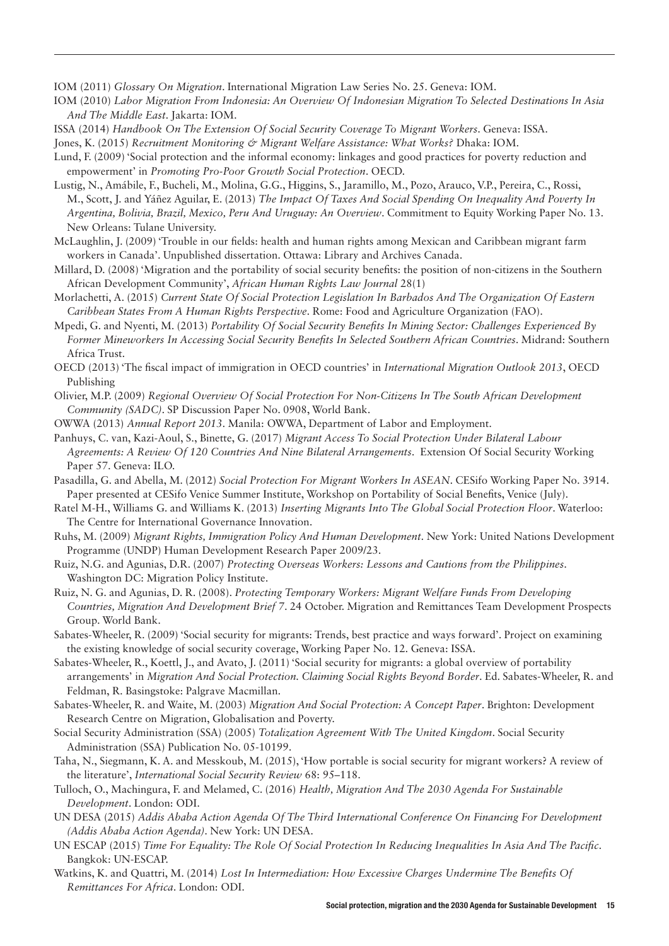IOM (2011) *Glossary On Migration*. International Migration Law Series No. 25. Geneva: IOM.

- IOM (2010) *Labor Migration From Indonesia: An Overview Of Indonesian Migration To Selected Destinations In Asia And The Middle East*. Jakarta: IOM.
- ISSA (2014) *Handbook On The Extension Of Social Security Coverage To Migrant Workers*. Geneva: ISSA.

Jones, K. (2015) *Recruitment Monitoring & Migrant Welfare Assistance: What Works?* Dhaka: IOM.

- Lund, F. (2009) 'Social protection and the informal economy: linkages and good practices for poverty reduction and empowerment' in *Promoting Pro-Poor Growth Social Protection*. OECD.
- Lustig, N., Amábile, F., Bucheli, M., Molina, G.G., Higgins, S., Jaramillo, M., Pozo, Arauco, V.P., Pereira, C., Rossi, M., Scott, J. and Yáñez Aguilar, E. (2013) *The Impact Of Taxes And Social Spending On Inequality And Poverty In Argentina, Bolivia, Brazil, Mexico, Peru And Uruguay: An Overview*. Commitment to Equity Working Paper No. 13. New Orleans: Tulane University.
- McLaughlin, J. (2009) 'Trouble in our fields: health and human rights among Mexican and Caribbean migrant farm workers in Canada'. Unpublished dissertation. Ottawa: Library and Archives Canada.
- Millard, D. (2008) 'Migration and the portability of social security benefits: the position of non-citizens in the Southern African Development Community', *African Human Rights Law Journal* 28(1)
- Morlachetti, A. (2015) *Current State Of Social Protection Legislation In Barbados And The Organization Of Eastern Caribbean States From A Human Rights Perspective*. Rome: Food and Agriculture Organization (FAO).
- Mpedi, G. and Nyenti, M. (2013) *Portability Of Social Security Benefits In Mining Sector: Challenges Experienced By Former Mineworkers In Accessing Social Security Benefits In Selected Southern African Countries*. Midrand: Southern Africa Trust.
- OECD (2013) 'The fiscal impact of immigration in OECD countries' in *International Migration Outlook 2013*, OECD Publishing
- Olivier, M.P. (2009) *Regional Overview Of Social Protection For Non-Citizens In The South African Development Community (SADC)*. SP Discussion Paper No. 0908, World Bank.
- OWWA (2013) *Annual Report 2013*. Manila: OWWA, Department of Labor and Employment.
- Panhuys, C. van, Kazi-Aoul, S., Binette, G. (2017) *Migrant Access To Social Protection Under Bilateral Labour Agreements: A Review Of 120 Countries And Nine Bilateral Arrangements*. Extension Of Social Security Working Paper 57. Geneva: ILO.
- Pasadilla, G. and Abella, M. (2012) *Social Protection For Migrant Workers In ASEAN*. CESifo Working Paper No. 3914. Paper presented at CESifo Venice Summer Institute, Workshop on Portability of Social Benefits, Venice (July).
- Ratel M-H., Williams G. and Williams K. (2013) *Inserting Migrants Into The Global Social Protection Floor*. Waterloo: The Centre for International Governance Innovation.
- Ruhs, M. (2009) *Migrant Rights, Immigration Policy And Human Development*. New York: United Nations Development Programme (UNDP) Human Development Research Paper 2009/23.
- Ruiz, N.G. and Agunias, D.R. (2007) *Protecting Overseas Workers: Lessons and Cautions from the Philippines*. Washington DC: Migration Policy Institute.
- Ruiz, N. G. and Agunias, D. R. (2008). *Protecting Temporary Workers: Migrant Welfare Funds From Developing Countries, Migration And Development Brief 7*. 24 October. Migration and Remittances Team Development Prospects Group. World Bank.
- Sabates-Wheeler, R. (2009) 'Social security for migrants: Trends, best practice and ways forward'. Project on examining the existing knowledge of social security coverage, Working Paper No. 12. Geneva: ISSA.
- Sabates-Wheeler, R., Koettl, J., and Avato, J. (2011) 'Social security for migrants: a global overview of portability arrangements' in *Migration And Social Protection. Claiming Social Rights Beyond Border*. Ed. Sabates-Wheeler, R. and Feldman, R. Basingstoke: Palgrave Macmillan.
- Sabates-Wheeler, R. and Waite, M. (2003) *Migration And Social Protection: A Concept Paper*. Brighton: Development Research Centre on Migration, Globalisation and Poverty.
- Social Security Administration (SSA) (2005) *Totalization Agreement With The United Kingdom*. Social Security Administration (SSA) Publication No. 05-10199.
- Taha, N., Siegmann, K. A. and Messkoub, M. (2015), 'How portable is social security for migrant workers? A review of the literature', *International Social Security Review* 68: 95–118.
- Tulloch, O., Machingura, F. and Melamed, C. (2016) *Health, Migration And The 2030 Agenda For Sustainable Development*. London: ODI.
- UN DESA (2015) *Addis Ababa Action Agenda Of The Third International Conference On Financing For Development (Addis Ababa Action Agenda)*. New York: UN DESA.
- UN ESCAP (2015) *Time For Equality: The Role Of Social Protection In Reducing Inequalities In Asia And The Pacific*. Bangkok: UN-ESCAP.
- Watkins, K. and Quattri, M. (2014) *Lost In Intermediation: How Excessive Charges Undermine The Benefits Of Remittances For Africa*. London: ODI.